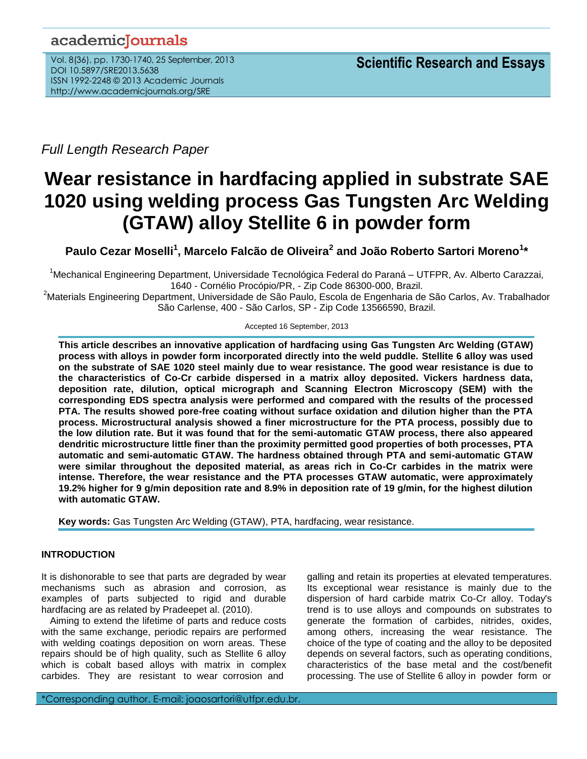# academicJournals

Vol. 8(36), pp. 1730-1740, 25 September, 2013 DOI 10.5897/SRE2013.5638 ISSN 1992-2248 © 2013 Academic Journals http://www.academicjournals.org/SRE

*Full Length Research Paper*

# **Wear resistance in hardfacing applied in substrate SAE 1020 using welding process Gas Tungsten Arc Welding (GTAW) alloy Stellite 6 in powder form**

Paulo Cezar Moselli<sup>1</sup>, Marcelo Falcão de Oliveira<sup>2</sup> and João Roberto Sartori Moreno<sup>1</sup>\*

<sup>1</sup>Mechanical Engineering Department, Universidade Tecnológica Federal do Paraná – UTFPR, Av. Alberto Carazzai, 1640 - Cornélio Procópio/PR, - Zip Code 86300-000, Brazil.

<sup>2</sup>Materials Engineering Department, Universidade de São Paulo, Escola de Engenharia de São Carlos, Av. Trabalhador São Carlense, 400 - São Carlos, SP - Zip Code 13566590, Brazil.

Accepted 16 September, 2013

**This article describes an innovative application of hardfacing using Gas Tungsten Arc Welding (GTAW) process with alloys in powder form incorporated directly into the weld puddle. Stellite 6 alloy was used on the substrate of SAE 1020 steel mainly due to wear resistance. The good wear resistance is due to the characteristics of Co-Cr carbide dispersed in a matrix alloy deposited. Vickers hardness data, deposition rate, dilution, optical micrograph and Scanning Electron Microscopy (SEM) with the corresponding EDS spectra analysis were performed and compared with the results of the processed PTA. The results showed pore-free coating without surface oxidation and dilution higher than the PTA process. Microstructural analysis showed a finer microstructure for the PTA process, possibly due to the low dilution rate. But it was found that for the semi-automatic GTAW process, there also appeared dendritic microstructure little finer than the proximity permitted good properties of both processes, PTA automatic and semi-automatic GTAW. The hardness obtained through PTA and semi-automatic GTAW were similar throughout the deposited material, as areas rich in Co-Cr carbides in the matrix were intense. Therefore, the wear resistance and the PTA processes GTAW automatic, were approximately 19.2% higher for 9 g/min deposition rate and 8.9% in deposition rate of 19 g/min, for the highest dilution with automatic GTAW.**

**Key words:** Gas Tungsten Arc Welding (GTAW), PTA, hardfacing, wear resistance.

# **INTRODUCTION**

It is dishonorable to see that parts are degraded by wear mechanisms such as abrasion and corrosion, as examples of parts subjected to rigid and durable hardfacing are as related by Pradeepet al. (2010).

Aiming to extend the lifetime of parts and reduce costs with the same exchange, periodic repairs are performed with welding coatings deposition on worn areas. These repairs should be of high quality, such as Stellite 6 alloy which is cobalt based alloys with matrix in complex carbides. They are resistant to wear corrosion and

galling and retain its properties at elevated temperatures. Its exceptional wear resistance is mainly due to the dispersion of hard carbide matrix Co-Cr alloy. Today's trend is to use alloys and compounds on substrates to generate the formation of carbides, nitrides, oxides, among others, increasing the wear resistance. The choice of the type of coating and the alloy to be deposited depends on several factors, such as operating conditions, characteristics of the base metal and the cost/benefit processing. The use of Stellite 6 alloy in powder form or

\*Corresponding author. E-mail: joaosartori@utfpr.edu.br.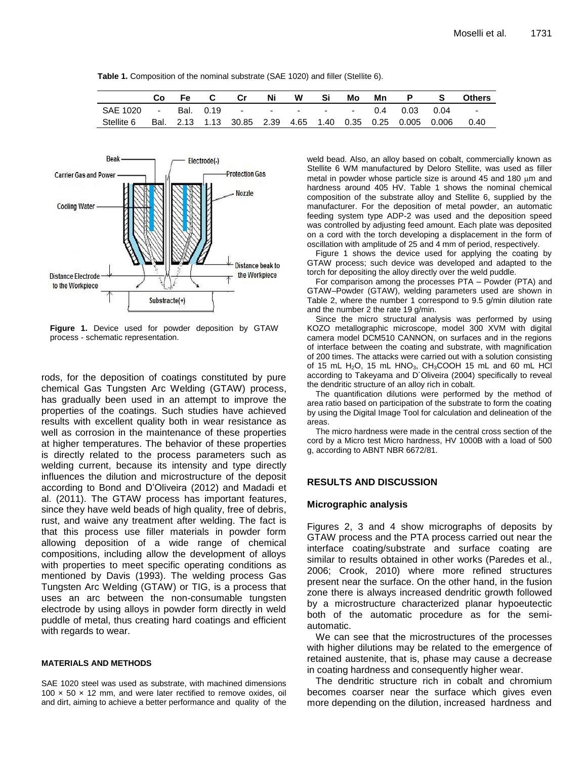**Table 1.** Composition of the nominal substrate (SAE 1020) and filler (Stellite 6).

|                                           | Co | Fe i | $\mathbf{C}$ | Cr | Ni | W | Mo | Mn |                                                           |          | <b>Others</b> |
|-------------------------------------------|----|------|--------------|----|----|---|----|----|-----------------------------------------------------------|----------|---------------|
| SAE 1020 - Bal. 0.19 - - - - - - 0.4 0.03 |    |      |              |    |    |   |    |    |                                                           | $0.04 -$ |               |
| Stellite 6                                |    |      |              |    |    |   |    |    | Bal. 2.13 1.13 30.85 2.39 4.65 1.40 0.35 0.25 0.005 0.006 |          | 0.40          |



**Figure 1.** Device used for powder deposition by GTAW process - schematic representation.

rods, for the deposition of coatings constituted by pure chemical Gas Tungsten Arc Welding (GTAW) process, has gradually been used in an attempt to improve the properties of the coatings. Such studies have achieved results with excellent quality both in wear resistance as well as corrosion in the maintenance of these properties at higher temperatures. The behavior of these properties is directly related to the process parameters such as welding current, because its intensity and type directly influences the dilution and microstructure of the deposit according to Bond and D'Oliveira (2012) and Madadi et al. (2011). The GTAW process has important features, since they have weld beads of high quality, free of debris, rust, and waive any treatment after welding. The fact is that this process use filler materials in powder form allowing deposition of a wide range of chemical compositions, including allow the development of alloys with properties to meet specific operating conditions as mentioned by Davis (1993). The welding process Gas Tungsten Arc Welding (GTAW) or TIG, is a process that uses an arc between the non-consumable tungsten electrode by using alloys in powder form directly in weld puddle of metal, thus creating hard coatings and efficient with regards to wear.

#### **MATERIALS AND METHODS**

SAE 1020 steel was used as substrate, with machined dimensions  $100 \times 50 \times 12$  mm, and were later rectified to remove oxides, oil and dirt, aiming to achieve a better performance and quality of the weld bead. Also, an alloy based on cobalt, commercially known as Stellite 6 WM manufactured by Deloro Stellite, was used as filler metal in powder whose particle size is around 45 and 180  $\mu$ m and hardness around 405 HV. Table 1 shows the nominal chemical composition of the substrate alloy and Stellite 6, supplied by the manufacturer. For the deposition of metal powder, an automatic feeding system type ADP-2 was used and the deposition speed was controlled by adjusting feed amount. Each plate was deposited on a cord with the torch developing a displacement in the form of oscillation with amplitude of 25 and 4 mm of period, respectively.

Figure 1 shows the device used for applying the coating by GTAW process; such device was developed and adapted to the torch for depositing the alloy directly over the weld puddle.

For comparison among the processes PTA – Powder (PTA) and GTAW–Powder (GTAW), welding parameters used are shown in Table 2, where the number 1 correspond to 9.5 g/min dilution rate and the number 2 the rate 19 g/min.

Since the micro structural analysis was performed by using KOZO metallographic microscope, model 300 XVM with digital camera model DCM510 CANNON, on surfaces and in the regions of interface between the coating and substrate, with magnification of 200 times. The attacks were carried out with a solution consisting of 15 mL  $H_2O$ , 15 mL  $HNO_3$ ,  $CH_3COOH$  15 mL and 60 mL HCl according to Takeyama and D´Oliveira (2004) specifically to reveal the dendritic structure of an alloy rich in cobalt.

The quantification dilutions were performed by the method of area ratio based on participation of the substrate to form the coating by using the Digital Image Tool for calculation and delineation of the areas.

The micro hardness were made in the central cross section of the cord by a Micro test Micro hardness, HV 1000B with a load of 500 g, according to ABNT NBR 6672/81.

#### **RESULTS AND DISCUSSION**

#### **Micrographic analysis**

Figures 2, 3 and 4 show micrographs of deposits by GTAW process and the PTA process carried out near the interface coating/substrate and surface coating are similar to results obtained in other works (Paredes et al., 2006; Crook, 2010) where more refined structures present near the surface. On the other hand, in the fusion zone there is always increased dendritic growth followed by a microstructure characterized planar hypoeutectic both of the automatic procedure as for the semiautomatic.

We can see that the microstructures of the processes with higher dilutions may be related to the emergence of retained austenite, that is, phase may cause a decrease in coating hardness and consequently higher wear.

The dendritic structure rich in cobalt and chromium becomes coarser near the surface which gives even more depending on the dilution, increased hardness and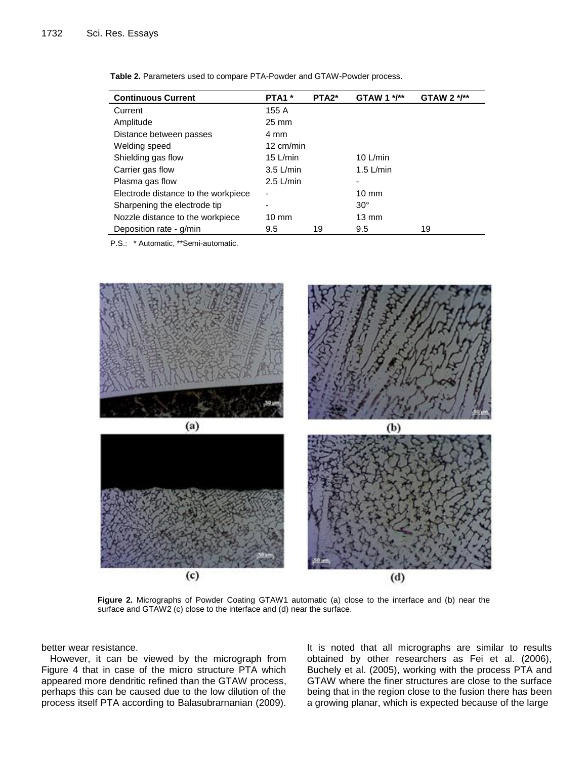| <b>Continuous Current</b>           | PTA1 <sup>*</sup>        | PTA <sub>2</sub> * | GTAW 1 */**     | GTAW 2 $*$ /** |
|-------------------------------------|--------------------------|--------------------|-----------------|----------------|
| Current                             | 155 A                    |                    |                 |                |
| Amplitude                           | $25 \text{ mm}$          |                    |                 |                |
| Distance between passes             | 4 mm                     |                    |                 |                |
| Welding speed                       | 12 cm/min                |                    |                 |                |
| Shielding gas flow                  | $15$ L/min               |                    | 10 $L/min$      |                |
| Carrier gas flow                    | $3.5$ L/min              |                    | $1.5$ L/min     |                |
| Plasma gas flow                     | $2.5$ L/min              |                    | ۰               |                |
| Electrode distance to the workpiece | $\overline{\phantom{a}}$ |                    | $10 \text{ mm}$ |                |
| Sharpening the electrode tip        | -                        |                    | $30^\circ$      |                |
| Nozzle distance to the workpiece    | $10 \text{ mm}$          |                    | $13 \text{ mm}$ |                |
| Deposition rate - g/min             | 9.5                      | 19                 | 9.5             | 19             |

| Table 2. Parameters used to compare PTA-Powder and GTAW-Powder process. |  |  |
|-------------------------------------------------------------------------|--|--|
|-------------------------------------------------------------------------|--|--|

P.S.: \* Automatic, \*\*Semi-automatic.



**Figure 2.** Micrographs of Powder Coating GTAW1 automatic (a) close to the interface and (b) near the surface and GTAW2 (c) close to the interface and (d) near the surface.

better wear resistance.

However, it can be viewed by the micrograph from Figure 4 that in case of the micro structure PTA which appeared more dendritic refined than the GTAW process, perhaps this can be caused due to the low dilution of the process itself PTA according to Balasubrarnanian (2009). It is noted that all micrographs are similar to results obtained by other researchers as Fei et al. (2006), Buchely et al. (2005), working with the process PTA and GTAW where the finer structures are close to the surface being that in the region close to the fusion there has been a growing planar, which is expected because of the large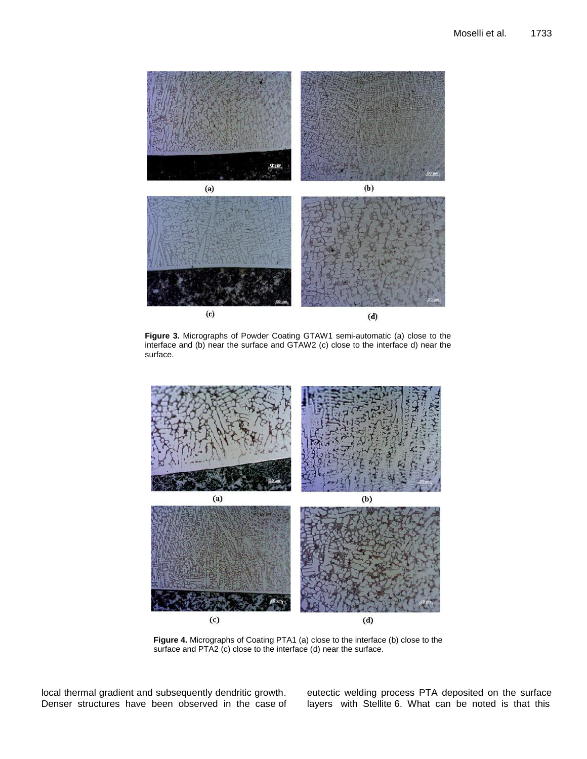

**Figure 3.** Micrographs of Powder Coating GTAW1 semi-automatic (a) close to the interface and (b) near the surface and GTAW2 (c) close to the interface d) near the surface.



**Figure 4.** Micrographs of Coating PTA1 (a) close to the interface (b) close to the surface and PTA2 (c) close to the interface (d) near the surface.

local thermal gradient and subsequently dendritic growth. Denser structures have been observed in the case of eutectic welding process PTA deposited on the surface layers with Stellite 6. What can be noted is that this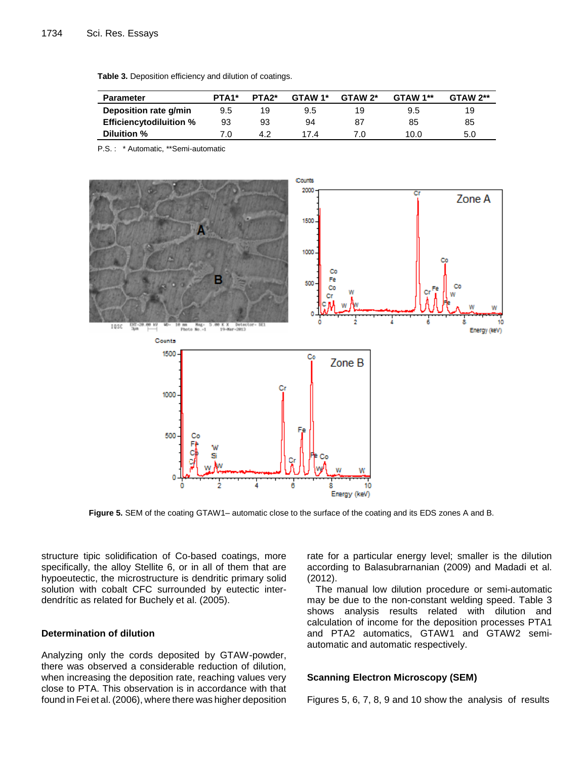| <b>Parameter</b>               | PTA <sub>1</sub> * | PTA <sub>2</sub> * | GTAW 1* | GTAW 2* | GTAW 1** | $GTAW 2**$ |
|--------------------------------|--------------------|--------------------|---------|---------|----------|------------|
| Deposition rate g/min          | 9.5                | 19                 | 9.5     | 19      | 9.5      | 19         |
| <b>Efficiencytodiluition %</b> | 93                 | 93                 | 94      | 87      | 85       | 85         |
| Diluition %                    | 7.0                | 4.2                | 174     | 7 በ     | 10.0     | 5.0        |

**Table 3.** Deposition efficiency and dilution of coatings.

P.S. : \* Automatic, \*\*Semi-automatic



**Figure 5.** SEM of the coating GTAW1– automatic close to the surface of the coating and its EDS zones A and B.

structure tipic solidification of Co-based coatings, more specifically, the alloy Stellite 6, or in all of them that are hypoeutectic, the microstructure is dendritic primary solid solution with cobalt CFC surrounded by eutectic interdendrític as related for Buchely et al. (2005).

# **Determination of dilution**

Analyzing only the cords deposited by GTAW-powder, there was observed a considerable reduction of dilution, when increasing the deposition rate, reaching values very close to PTA. This observation is in accordance with that found in Fei et al. (2006), where there was higher deposition

rate for a particular energy level; smaller is the dilution according to Balasubrarnanian (2009) and Madadi et al. (2012).

The manual low dilution procedure or semi-automatic may be due to the non-constant welding speed. Table 3 shows analysis results related with dilution and calculation of income for the deposition processes PTA1 and PTA2 automatics, GTAW1 and GTAW2 semiautomatic and automatic respectively.

### **Scanning Electron Microscopy (SEM)**

Figures 5, 6, 7, 8, 9 and 10 show the analysis of results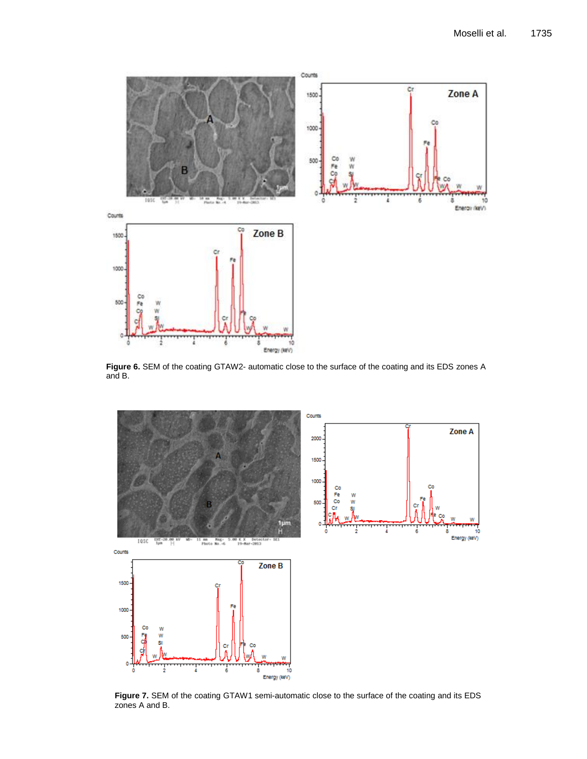

**Figure 6.** SEM of the coating GTAW2- automatic close to the surface of the coating and its EDS zones A and B.



**Figure 7.** SEM of the coating GTAW1 semi-automatic close to the surface of the coating and its EDS zones A and B.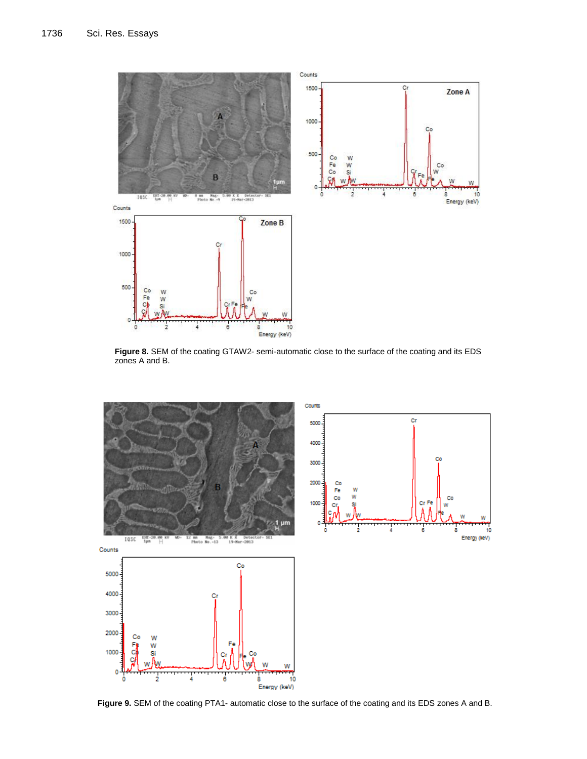

**Figure 8.** SEM of the coating GTAW2- semi-automatic close to the surface of the coating and its EDS zones A and B.



**Figure 9.** SEM of the coating PTA1- automatic close to the surface of the coating and its EDS zones A and B.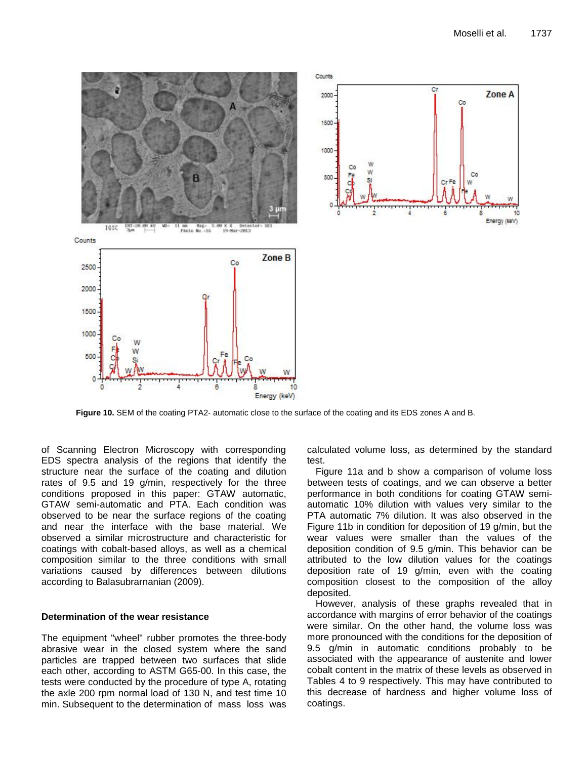

**Figure 10.** SEM of the coating PTA2- automatic close to the surface of the coating and its EDS zones A and B.

of Scanning Electron Microscopy with corresponding EDS spectra analysis of the regions that identify the structure near the surface of the coating and dilution rates of 9.5 and 19 g/min, respectively for the three conditions proposed in this paper: GTAW automatic, GTAW semi-automatic and PTA. Each condition was observed to be near the surface regions of the coating and near the interface with the base material. We observed a similar microstructure and characteristic for coatings with cobalt-based alloys, as well as a chemical composition similar to the three conditions with small variations caused by differences between dilutions according to Balasubrarnanian (2009).

# **Determination of the wear resistance**

The equipment "wheel" rubber promotes the three-body abrasive wear in the closed system where the sand particles are trapped between two surfaces that slide each other, according to ASTM G65-00. In this case, the tests were conducted by the procedure of type A, rotating the axle 200 rpm normal load of 130 N, and test time 10 min. Subsequent to the determination of mass loss was

calculated volume loss, as determined by the standard test.

Figure 11a and b show a comparison of volume loss between tests of coatings, and we can observe a better performance in both conditions for coating GTAW semiautomatic 10% dilution with values very similar to the PTA automatic 7% dilution. It was also observed in the Figure 11b in condition for deposition of 19 g/min, but the wear values were smaller than the values of the deposition condition of 9.5 g/min. This behavior can be attributed to the low dilution values for the coatings deposition rate of 19 g/min, even with the coating composition closest to the composition of the alloy deposited.

However, analysis of these graphs revealed that in accordance with margins of error behavior of the coatings were similar. On the other hand, the volume loss was more pronounced with the conditions for the deposition of 9.5 g/min in automatic conditions probably to be associated with the appearance of austenite and lower cobalt content in the matrix of these levels as observed in Tables 4 to 9 respectively. This may have contributed to this decrease of hardness and higher volume loss of coatings.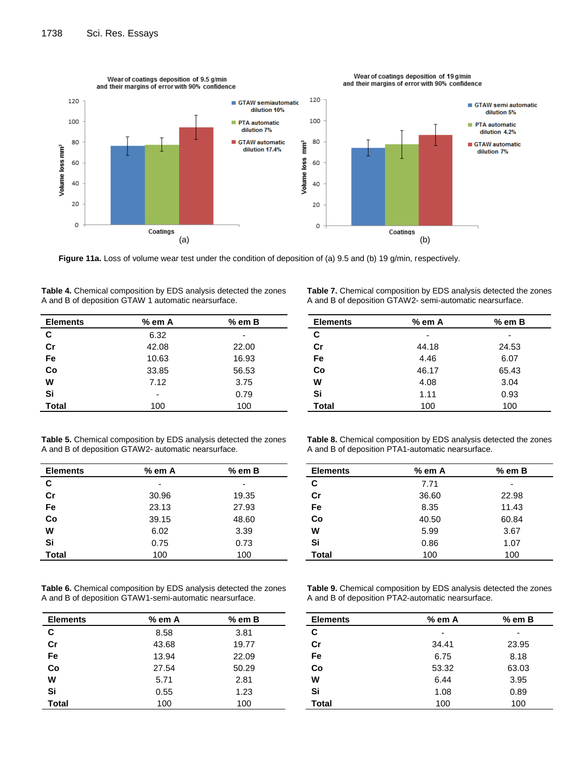

**Figure 11a.** Loss of volume wear test under the condition of deposition of (a) 9.5 and (b) 19 g/min, respectively.

| <b>Elements</b> | % em A | $%$ em $B$ |
|-----------------|--------|------------|
| C               | 6.32   |            |
| cr              | 42.08  | 22.00      |
| Fe              | 10.63  | 16.93      |
| Co              | 33.85  | 56.53      |
| W               | 7.12   | 3.75       |
| Si              |        | 0.79       |
| <b>Total</b>    | 100    | 100        |
|                 |        |            |

| <b>Table 4.</b> Chemical composition by EDS analysis detected the zones |  |
|-------------------------------------------------------------------------|--|
| A and B of deposition GTAW 1 automatic nearsurface.                     |  |

| <b>Table 7.</b> Chemical composition by EDS analysis detected the zones |
|-------------------------------------------------------------------------|
| A and B of deposition GTAW2- semi-automatic nearsurface.                |

| <b>Elements</b> | $%$ em A | $%$ em B |
|-----------------|----------|----------|
| C               |          |          |
| Cr              | 44.18    | 24.53    |
| Fe              | 4.46     | 6.07     |
| Co              | 46.17    | 65.43    |
| w               | 4.08     | 3.04     |
| Si              | 1.11     | 0.93     |
| <b>Total</b>    | 100      | 100      |

| <b>Table 5.</b> Chemical composition by EDS analysis detected the zones |
|-------------------------------------------------------------------------|
| A and B of deposition GTAW2- automatic nearsurface.                     |

| <b>Elements</b> | $%$ em A | $%$ em $B$ |
|-----------------|----------|------------|
| С               |          |            |
| Cr              | 30.96    | 19.35      |
| Fe              | 23.13    | 27.93      |
| Co              | 39.15    | 48.60      |
| W               | 6.02     | 3.39       |
| Si              | 0.75     | 0.73       |
| <b>Total</b>    | 100      | 100        |

**Table 6.** Chemical composition by EDS analysis detected the zones A and B of deposition GTAW1-semi-automatic nearsurface.

| <b>Elements</b> | $%$ em A | $%$ em B |
|-----------------|----------|----------|
| C               | 8.58     | 3.81     |
| Cr              | 43.68    | 19.77    |
| Fe              | 13.94    | 22.09    |
| Co              | 27.54    | 50.29    |
| W               | 5.71     | 2.81     |
| Si              | 0.55     | 1.23     |
| <b>Total</b>    | 100      | 100      |

**Table 8.** Chemical composition by EDS analysis detected the zones A and B of deposition PTA1-automatic nearsurface.

| <b>Elements</b> | $%$ em A | $%$ em B |
|-----------------|----------|----------|
| C               | 7.71     |          |
| Cr              | 36.60    | 22.98    |
| Fe              | 8.35     | 11.43    |
| Co              | 40.50    | 60.84    |
| W               | 5.99     | 3.67     |
| Si              | 0.86     | 1.07     |
| <b>Total</b>    | 100      | 100      |

**Table 9.** Chemical composition by EDS analysis detected the zones A and B of deposition PTA2-automatic nearsurface.

| <b>Elements</b> | $%$ em A | $%$ em B |
|-----------------|----------|----------|
| C               | -        |          |
| cr              | 34.41    | 23.95    |
| Fe              | 6.75     | 8.18     |
| Co              | 53.32    | 63.03    |
| W               | 6.44     | 3.95     |
| Si              | 1.08     | 0.89     |
| <b>Total</b>    | 100      | 100      |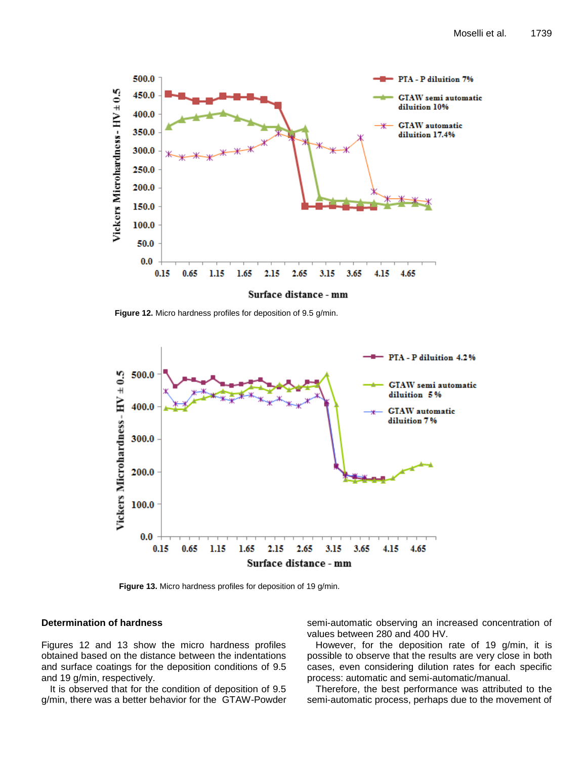

**Figure 12.** Micro hardness profiles for deposition of 9.5 g/min.



**Figure 13.** Micro hardness profiles for deposition of 19 g/min.

## **Determination of hardness**

Figures 12 and 13 show the micro hardness profiles obtained based on the distance between the indentations and surface coatings for the deposition conditions of 9.5 and 19 g/min, respectively.

It is observed that for the condition of deposition of 9.5 g/min, there was a better behavior for the GTAW-Powder

semi-automatic observing an increased concentration of values between 280 and 400 HV.

However, for the deposition rate of 19 g/min, it is possible to observe that the results are very close in both cases, even considering dilution rates for each specific process: automatic and semi-automatic/manual.

Therefore, the best performance was attributed to the semi-automatic process, perhaps due to the movement of